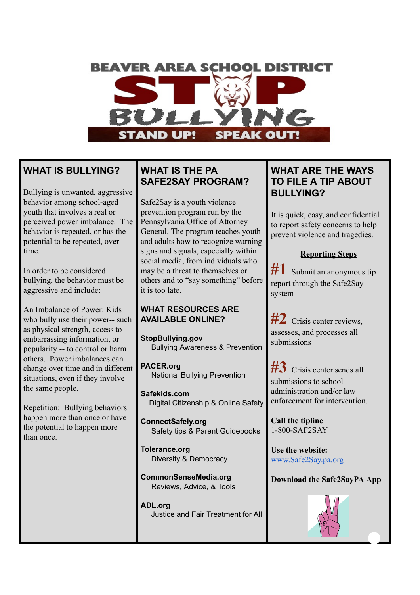# **BEAVER AREA SCHOOL DISTRICT**

# **WHAT IS BULLYING?**

Bullying is unwanted, aggressive behavior among school-aged youth that involves a real or perceived power imbalance. The behavior is repeated, or has the potential to be repeated, over time.

In order to be considered bullying, the behavior must be aggressive and include:

An Imbalance of Power: Kids who bully use their power-- such as physical strength, access to embarrassing information, or popularity -- to control or harm others. Power imbalances can change over time and in different situations, even if they involve the same people.

Repetition: Bullying behaviors happen more than once or have the potential to happen more than once.

# **WHAT IS THE PA SAFE2SAY PROGRAM?**

Safe2Say is a youth violence prevention program run by the Pennsylvania Office of Attorney General. The program teaches youth and adults how to recognize warning signs and signals, especially within social media, from individuals who may be a threat to themselves or others and to "say something" before it is too late.

#### **WHAT RESOURCES ARE AVAILABLE ONLINE?**

**StopBullying.gov** Bullying Awareness & Prevention

**PACER.org** National Bullying Prevention

**Safekids.com** Digital Citizenship & Online Safety

**ConnectSafely.org** Safety tips & Parent Guidebooks

**Tolerance.org** Diversity & Democracy

**CommonSenseMedia.org** Reviews, Advice, & Tools

**ADL.org** Justice and Fair Treatment for All

# **WHAT ARE THE WAYS TO FILE A TIP ABOUT BULLYING?**

It is quick, easy, and confidential to report safety concerns to help prevent violence and tragedies.

#### **Reporting Steps**

#1 Submit an anonymous tip report through the Safe2Say system

**#2** Crisis center reviews, assesses, and processes all submissions

**#3** Crisis center sends all submissions to school administration and/or law enforcement for intervention.

**Call the tipline**  1-800-SAF2SAY

**Use the website:**  www.Safe2Say.pa.org

**Download the Safe2SayPA App** 

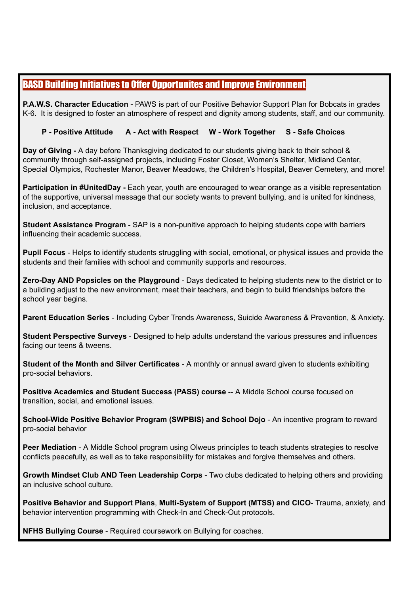## BASD Building Initiatives to Offer Opportunites and Improve Environment

**P.A.W.S. Character Education** - PAWS is part of our Positive Behavior Support Plan for Bobcats in grades K-6. It is designed to foster an atmosphere of respect and dignity among students, staff, and our community.

#### **P - Positive Attitude A - Act with Respect W - Work Together S - Safe Choices**

**Day of Giving -** A day before Thanksgiving dedicated to our students giving back to their school & community through self-assigned projects, including Foster Closet, Women's Shelter, Midland Center, Special Olympics, Rochester Manor, Beaver Meadows, the Children's Hospital, Beaver Cemetery, and more!

**Participation in #UnitedDay -** Each year, youth are encouraged to wear orange as a visible representation of the supportive, universal message that our society wants to prevent bullying, and is united for kindness, inclusion, and acceptance.

**Student Assistance Program** - SAP is a non-punitive approach to helping students cope with barriers influencing their academic success.

**Pupil Focus** - Helps to identify students struggling with social, emotional, or physical issues and provide the students and their families with school and community supports and resources.

**Zero-Day AND Popsicles on the Playground** - Days dedicated to helping students new to the district or to a building adjust to the new environment, meet their teachers, and begin to build friendships before the school year begins.

**Parent Education Series** - Including Cyber Trends Awareness, Suicide Awareness & Prevention, & Anxiety.

**Student Perspective Surveys** - Designed to help adults understand the various pressures and influences facing our teens & tweens.

**Student of the Month and Silver Certificates** - A monthly or annual award given to students exhibiting pro-social behaviors.

**Positive Academics and Student Success (PASS) course** -- A Middle School course focused on transition, social, and emotional issues.

**School-Wide Positive Behavior Program (SWPBIS) and School Dojo** - An incentive program to reward pro-social behavior

**Peer Mediation** - A Middle School program using Olweus principles to teach students strategies to resolve conflicts peacefully, as well as to take responsibility for mistakes and forgive themselves and others.

**Growth Mindset Club AND Teen Leadership Corps** - Two clubs dedicated to helping others and providing an inclusive school culture.

**Positive Behavior and Support Plans**, **Multi-System of Support (MTSS) and CICO**- Trauma, anxiety, and behavior intervention programming with Check-In and Check-Out protocols.

**NFHS Bullying Course** - Required coursework on Bullying for coaches.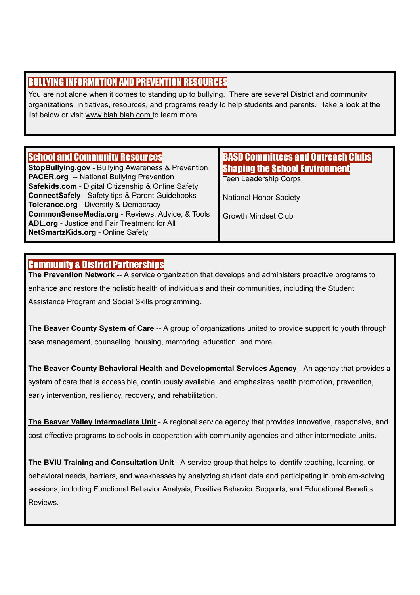## BULLYING INFORMATION AND PREVENTION RESOURCES

You are not alone when it comes to standing up to bullying. There are several District and community organizations, initiatives, resources, and programs ready to help students and parents. Take a look at the list below or visit www.blah blah.com to learn more.

## School and Community Resources

**StopBullying.gov** - Bullying Awareness & Prevention **PACER.org** -- National Bullying Prevention **Safekids.com** - Digital Citizenship & Online Safety **ConnectSafely** - Safety tips & Parent Guidebooks **Tolerance.org** - Diversity & Democracy **CommonSenseMedia.org** - Reviews, Advice, & Tools **ADL.org** - Justice and Fair Treatment for All **NetSmartzKids.org** - Online Safety

## BASD Committees and Outreach Clubs Shaping the School Environment

Teen Leadership Corps.

National Honor Society

Growth Mindset Club

### Community & District Partnerships

**The Prevention Network** -- A service organization that develops and administers proactive programs to enhance and restore the holistic health of individuals and their communities, including the Student Assistance Program and Social Skills programming.

**The Beaver County System of Care** -- A group of organizations united to provide support to youth through case management, counseling, housing, mentoring, education, and more.

**The Beaver County Behavioral Health and Developmental Services Agency** - An agency that provides a system of care that is accessible, continuously available, and emphasizes health promotion, prevention, early intervention, resiliency, recovery, and rehabilitation.

**The Beaver Valley Intermediate Unit** - A regional service agency that provides innovative, responsive, and cost-effective programs to schools in cooperation with community agencies and other intermediate units.

**The BVIU Training and Consultation Unit** - A service group that helps to identify teaching, learning, or behavioral needs, barriers, and weaknesses by analyzing student data and participating in problem-solving sessions, including Functional Behavior Analysis, Positive Behavior Supports, and Educational Benefits Reviews.